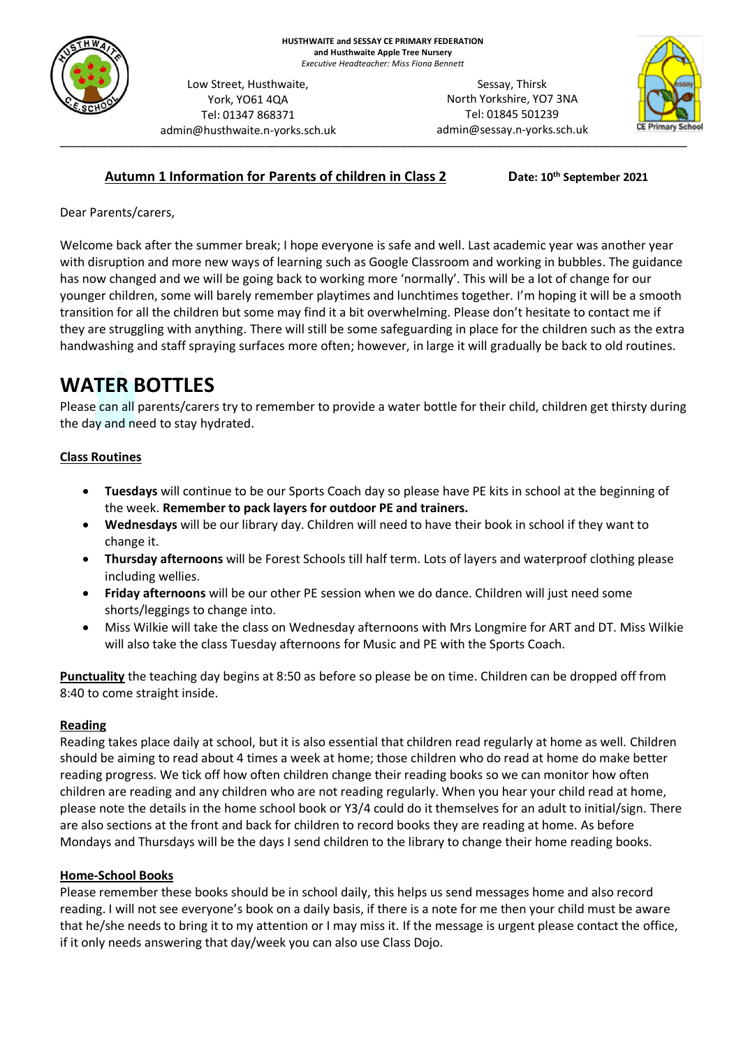

Low Street, Husthwaite, York, YO61 4QA Tel: 01347 868371 admin@husthwaite.n-yorks.sch.uk

\_\_\_\_\_\_\_\_\_\_\_\_\_\_\_\_\_\_\_\_\_\_\_\_\_\_\_\_\_\_\_\_\_\_\_\_\_\_\_\_\_\_\_\_\_\_\_\_\_\_\_\_\_\_\_\_\_\_\_\_\_\_\_\_\_\_\_\_\_\_\_\_\_\_\_\_\_\_\_\_\_\_\_\_\_\_\_\_\_\_\_\_ Sessay, Thirsk North Yorkshire, YO7 3NA Tel: 01845 501239 admin@sessay.n-yorks.sch.uk



### **Autumn 1 Information for Parents of children in Class 2**

**th September 2021**

Dear Parents/carers,

Welcome back after the summer break; I hope everyone is safe and well. Last academic year was another year with disruption and more new ways of learning such as Google Classroom and working in bubbles. The guidance has now changed and we will be going back to working more 'normally'. This will be a lot of change for our younger children, some will barely remember playtimes and lunchtimes together. I'm hoping it will be a smooth transition for all the children but some may find it a bit overwhelming. Please don't hesitate to contact me if they are struggling with anything. There will still be some safeguarding in place for the children such as the extra handwashing and staff spraying surfaces more often; however, in large it will gradually be back to old routines.

# **WATER BOTTLES**

Please can all parents/carers try to remember to provide a water bottle for their child, children get thirsty during the day and need to stay hydrated.

#### **Class Routines**

- **Tuesdays** will continue to be our Sports Coach day so please have PE kits in school at the beginning of the week. **Remember to pack layers for outdoor PE and trainers.**
- **Wednesdays** will be our library day. Children will need to have their book in school if they want to change it.
- **Thursday afternoons** will be Forest Schools till half term. Lots of layers and waterproof clothing please including wellies.
- **Friday afternoons** will be our other PE session when we do dance. Children will just need some shorts/leggings to change into.
- Miss Wilkie will take the class on Wednesday afternoons with Mrs Longmire for ART and DT. Miss Wilkie will also take the class Tuesday afternoons for Music and PE with the Sports Coach.

**Punctuality** the teaching day begins at 8:50 as before so please be on time. Children can be dropped off from 8:40 to come straight inside.

#### **Reading**

Reading takes place daily at school, but it is also essential that children read regularly at home as well. Children should be aiming to read about 4 times a week at home; those children who do read at home do make better reading progress. We tick off how often children change their reading books so we can monitor how often children are reading and any children who are not reading regularly. When you hear your child read at home, please note the details in the home school book or Y3/4 could do it themselves for an adult to initial/sign. There are also sections at the front and back for children to record books they are reading at home. As before Mondays and Thursdays will be the days I send children to the library to change their home reading books.

#### **Home-School Books**

Please remember these books should be in school daily, this helps us send messages home and also record reading. I will not see everyone's book on a daily basis, if there is a note for me then your child must be aware that he/she needs to bring it to my attention or I may miss it. If the message is urgent please contact the office, if it only needs answering that day/week you can also use Class Dojo.